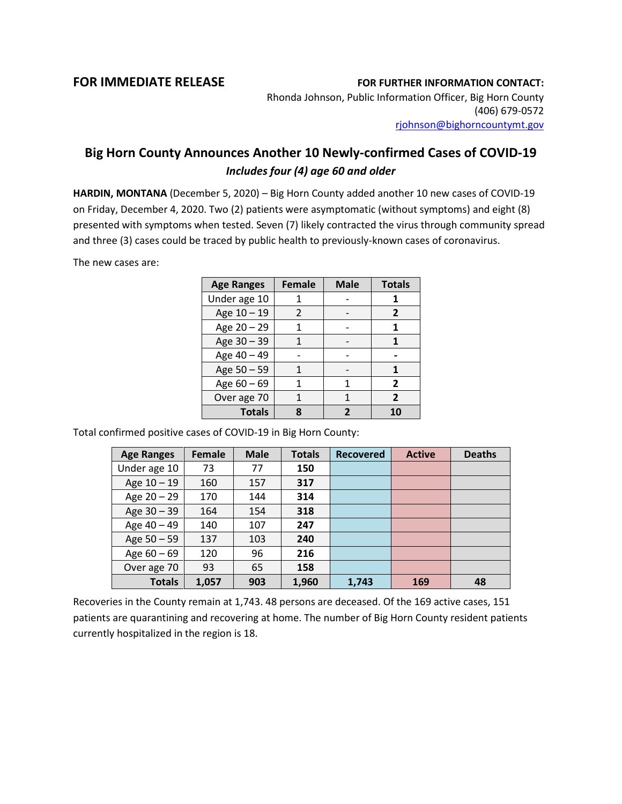## **FOR IMMEDIATE RELEASE FOR FURTHER INFORMATION CONTACT:**

Rhonda Johnson, Public Information Officer, Big Horn County (406) 679-0572 [rjohnson@bighorncountymt.gov](mailto:rjohnson@bighorncountymt.gov)

## **Big Horn County Announces Another 10 Newly-confirmed Cases of COVID-19** *Includes four (4) age 60 and older*

**HARDIN, MONTANA** (December 5, 2020) – Big Horn County added another 10 new cases of COVID-19 on Friday, December 4, 2020. Two (2) patients were asymptomatic (without symptoms) and eight (8) presented with symptoms when tested. Seven (7) likely contracted the virus through community spread and three (3) cases could be traced by public health to previously-known cases of coronavirus.

The new cases are:

| <b>Age Ranges</b> | <b>Female</b> | <b>Male</b> | <b>Totals</b> |
|-------------------|---------------|-------------|---------------|
| Under age 10      |               |             |               |
| Age 10 - 19       | 2             |             | 2             |
| Age 20 - 29       | 1             |             |               |
| Age 30 - 39       |               |             |               |
| Age 40 - 49       |               |             |               |
| Age 50 - 59       | 1             |             |               |
| Age $60 - 69$     |               | 1           | $\mathbf{z}$  |
| Over age 70       |               |             | $\mathbf{z}$  |
| <b>Totals</b>     |               |             |               |

Total confirmed positive cases of COVID-19 in Big Horn County:

| <b>Age Ranges</b> | Female | <b>Male</b> | <b>Totals</b> | <b>Recovered</b> | <b>Active</b> | <b>Deaths</b> |
|-------------------|--------|-------------|---------------|------------------|---------------|---------------|
| Under age 10      | 73     | 77          | 150           |                  |               |               |
| Age $10 - 19$     | 160    | 157         | 317           |                  |               |               |
| Age $20 - 29$     | 170    | 144         | 314           |                  |               |               |
| Age 30 - 39       | 164    | 154         | 318           |                  |               |               |
| Age 40 - 49       | 140    | 107         | 247           |                  |               |               |
| Age $50 - 59$     | 137    | 103         | 240           |                  |               |               |
| Age $60 - 69$     | 120    | 96          | 216           |                  |               |               |
| Over age 70       | 93     | 65          | 158           |                  |               |               |
| <b>Totals</b>     | 1,057  | 903         | 1,960         | 1,743            | 169           | 48            |

Recoveries in the County remain at 1,743. 48 persons are deceased. Of the 169 active cases, 151 patients are quarantining and recovering at home. The number of Big Horn County resident patients currently hospitalized in the region is 18.